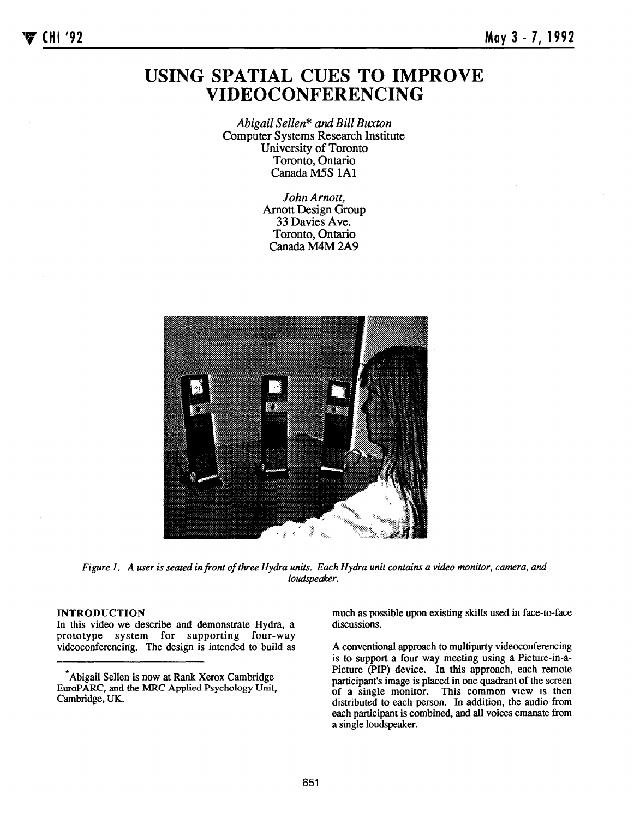## USING SPATIAL CUES TO IMPROVE VIDEOCONFERENCING

Abigail Sellen\* and Bill Buxton Computer Systems Research Institute University of Toronto Toronto, Ontario Canada M5S lA1

> John Arnott, Arnott Design Group 33 Davies Ave. Toronto, Ontario Canada M4M 2A9



Figure 1. A user is seated in front of three Hydra units. Each Hydra unit contains a video monitor, camera, and loudspeaker.

## INTRODUCTION

In this video we describe and demonstrate Hydra, a prototype system for supporting four-way videoconferencing. The design is intended to build as much as possible upon existing skills used in face-to-face discussions.

A conventional approach to multiparty videoeonferencing is to support a four way meeting using a Picture-in-a-Picture (PIP) device, In this approach, each remote participant's image is placed in one quadrant of the screen of a single monitor. This common view is then distributed to each person. In addition, the audio from eaeh participant is combined, and all voices emanate from a single loudspeaker.

Abigail Sellen is now at Rank Xerox Cambridge EuroPARC, and the MRC Applied Psychology Unit, Cambridge, UK.